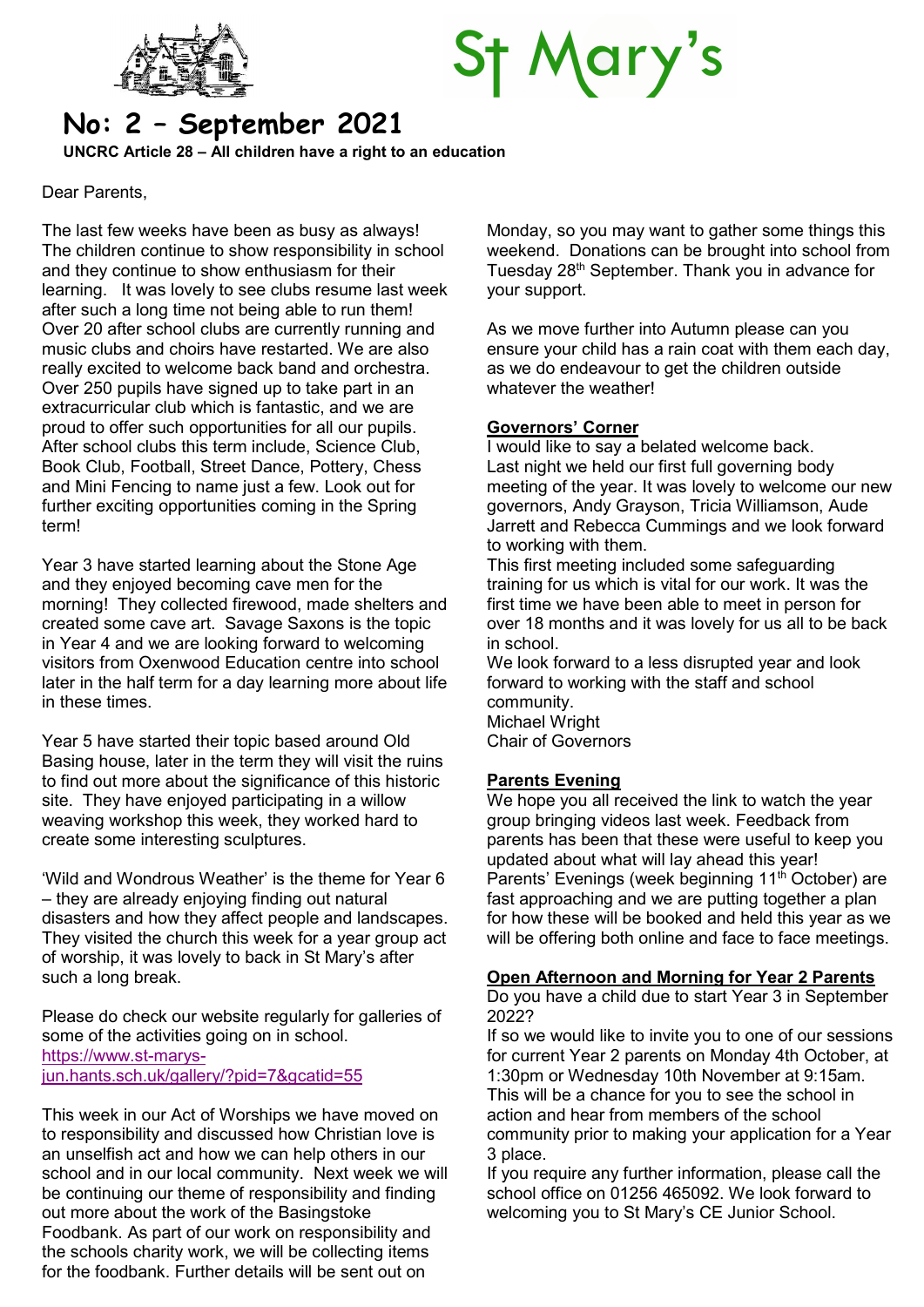

# St Mary's

# No: 2 – September 2021

UNCRC Article 28 – All children have a right to an education

Dear Parents,

The last few weeks have been as busy as always! The children continue to show responsibility in school and they continue to show enthusiasm for their learning. It was lovely to see clubs resume last week after such a long time not being able to run them! Over 20 after school clubs are currently running and music clubs and choirs have restarted. We are also really excited to welcome back band and orchestra. Over 250 pupils have signed up to take part in an extracurricular club which is fantastic, and we are proud to offer such opportunities for all our pupils. After school clubs this term include, Science Club, Book Club, Football, Street Dance, Pottery, Chess and Mini Fencing to name just a few. Look out for further exciting opportunities coming in the Spring term!

Year 3 have started learning about the Stone Age and they enjoyed becoming cave men for the morning! They collected firewood, made shelters and created some cave art. Savage Saxons is the topic in Year 4 and we are looking forward to welcoming visitors from Oxenwood Education centre into school later in the half term for a day learning more about life in these times.

Year 5 have started their topic based around Old Basing house, later in the term they will visit the ruins to find out more about the significance of this historic site. They have enjoyed participating in a willow weaving workshop this week, they worked hard to create some interesting sculptures.

'Wild and Wondrous Weather' is the theme for Year 6 – they are already enjoying finding out natural disasters and how they affect people and landscapes. They visited the church this week for a year group act of worship, it was lovely to back in St Mary's after such a long break.

Please do check our website regularly for galleries of some of the activities going on in school. https://www.st-marysjun.hants.sch.uk/gallery/?pid=7&gcatid=55

This week in our Act of Worships we have moved on to responsibility and discussed how Christian love is an unselfish act and how we can help others in our school and in our local community. Next week we will be continuing our theme of responsibility and finding out more about the work of the Basingstoke Foodbank. As part of our work on responsibility and the schools charity work, we will be collecting items for the foodbank. Further details will be sent out on

Monday, so you may want to gather some things this weekend. Donations can be brought into school from Tuesday 28th September. Thank you in advance for your support.

As we move further into Autumn please can you ensure your child has a rain coat with them each day, as we do endeavour to get the children outside whatever the weather!

# Governors' Corner

I would like to say a belated welcome back. Last night we held our first full governing body meeting of the year. It was lovely to welcome our new governors, Andy Grayson, Tricia Williamson, Aude Jarrett and Rebecca Cummings and we look forward to working with them.

This first meeting included some safeguarding training for us which is vital for our work. It was the first time we have been able to meet in person for over 18 months and it was lovely for us all to be back in school.

We look forward to a less disrupted year and look forward to working with the staff and school community. Michael Wright Chair of Governors

# Parents Evening

We hope you all received the link to watch the year group bringing videos last week. Feedback from parents has been that these were useful to keep you updated about what will lay ahead this year! Parents' Evenings (week beginning 11<sup>th</sup> October) are fast approaching and we are putting together a plan for how these will be booked and held this year as we will be offering both online and face to face meetings.

# Open Afternoon and Morning for Year 2 Parents

Do you have a child due to start Year 3 in September 2022?

If so we would like to invite you to one of our sessions for current Year 2 parents on Monday 4th October, at 1:30pm or Wednesday 10th November at 9:15am. This will be a chance for you to see the school in action and hear from members of the school community prior to making your application for a Year 3 place.

If you require any further information, please call the school office on 01256 465092. We look forward to welcoming you to St Mary's CE Junior School.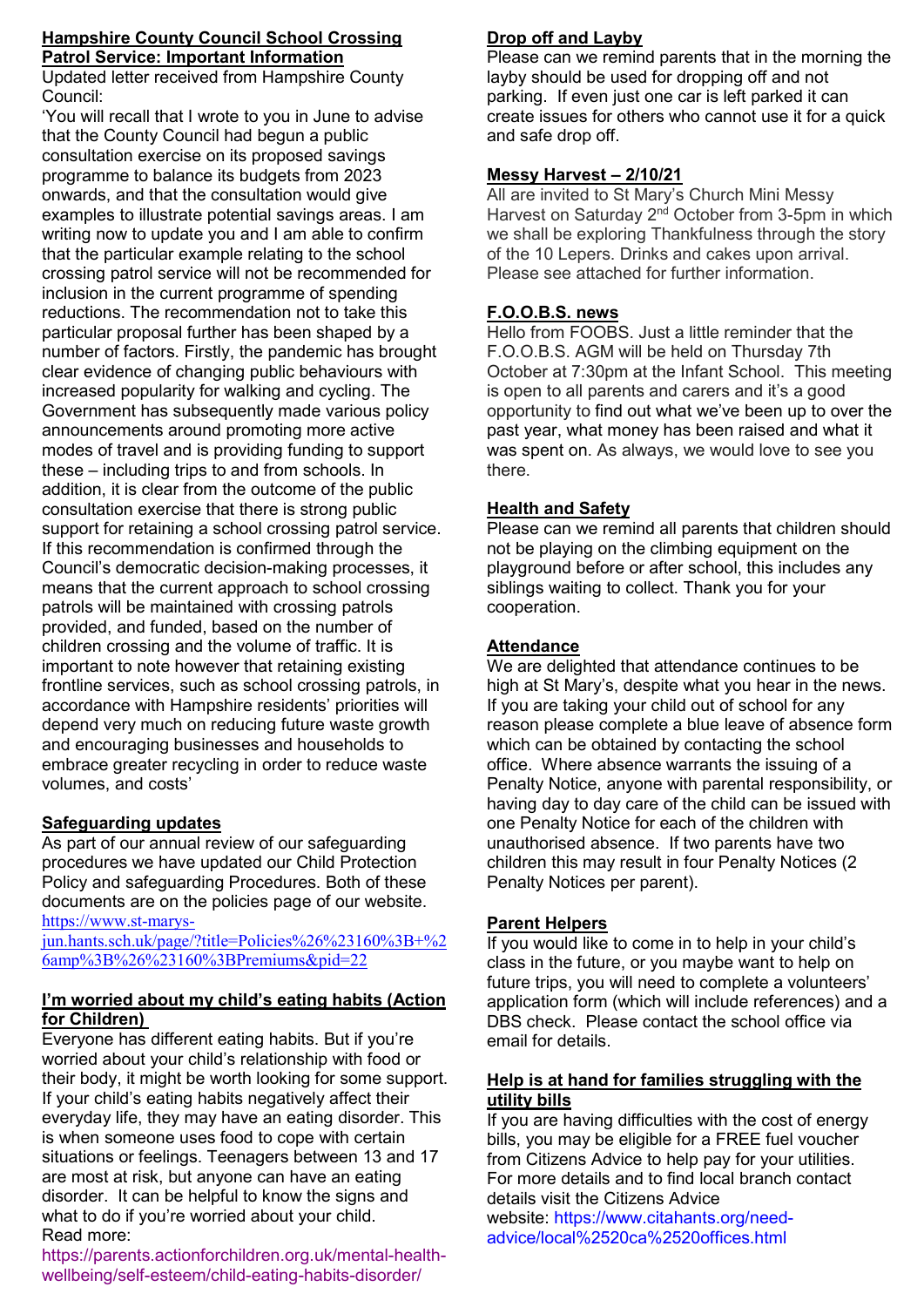#### Hampshire County Council School Crossing Patrol Service: Important Information

Updated letter received from Hampshire County Council:

'You will recall that I wrote to you in June to advise that the County Council had begun a public consultation exercise on its proposed savings programme to balance its budgets from 2023 onwards, and that the consultation would give examples to illustrate potential savings areas. I am writing now to update you and I am able to confirm that the particular example relating to the school crossing patrol service will not be recommended for inclusion in the current programme of spending reductions. The recommendation not to take this particular proposal further has been shaped by a number of factors. Firstly, the pandemic has brought clear evidence of changing public behaviours with increased popularity for walking and cycling. The Government has subsequently made various policy announcements around promoting more active modes of travel and is providing funding to support these – including trips to and from schools. In addition, it is clear from the outcome of the public consultation exercise that there is strong public support for retaining a school crossing patrol service. If this recommendation is confirmed through the Council's democratic decision-making processes, it means that the current approach to school crossing patrols will be maintained with crossing patrols provided, and funded, based on the number of children crossing and the volume of traffic. It is important to note however that retaining existing frontline services, such as school crossing patrols, in accordance with Hampshire residents' priorities will depend very much on reducing future waste growth and encouraging businesses and households to embrace greater recycling in order to reduce waste volumes, and costs'

# Safeguarding updates

As part of our annual review of our safeguarding procedures we have updated our Child Protection Policy and safeguarding Procedures. Both of these documents are on the policies page of our website. https://www.st-marys-

jun.hants.sch.uk/page/?title=Policies%26%23160%3B+%2 6amp%3B%26%23160%3BPremiums&pid=22

#### I'm worried about my child's eating habits (Action for Children)

Everyone has different eating habits. But if you're worried about your child's relationship with food or their body, it might be worth looking for some support. If your child's eating habits negatively affect their everyday life, they may have an eating disorder. This is when someone uses food to cope with certain situations or feelings. Teenagers between 13 and 17 are most at risk, but anyone can have an eating disorder. It can be helpful to know the signs and what to do if you're worried about your child. Read more:

#### https://parents.actionforchildren.org.uk/mental-healthwellbeing/self-esteem/child-eating-habits-disorder/

# Drop off and Layby

Please can we remind parents that in the morning the layby should be used for dropping off and not parking. If even just one car is left parked it can create issues for others who cannot use it for a quick and safe drop off.

# Messy Harvest – 2/10/21

All are invited to St Mary's Church Mini Messy Harvest on Saturday 2<sup>nd</sup> October from 3-5pm in which we shall be exploring Thankfulness through the story of the 10 Lepers. Drinks and cakes upon arrival. Please see attached for further information.

# F.O.O.B.S. news

Hello from FOOBS. Just a little reminder that the F.O.O.B.S. AGM will be held on Thursday 7th October at 7:30pm at the Infant School. This meeting is open to all parents and carers and it's a good opportunity to find out what we've been up to over the past year, what money has been raised and what it was spent on. As always, we would love to see you there.

# Health and Safety

Please can we remind all parents that children should not be playing on the climbing equipment on the playground before or after school, this includes any siblings waiting to collect. Thank you for your cooperation.

# **Attendance**

We are delighted that attendance continues to be high at St Mary's, despite what you hear in the news. If you are taking your child out of school for any reason please complete a blue leave of absence form which can be obtained by contacting the school office. Where absence warrants the issuing of a Penalty Notice, anyone with parental responsibility, or having day to day care of the child can be issued with one Penalty Notice for each of the children with unauthorised absence. If two parents have two children this may result in four Penalty Notices (2 Penalty Notices per parent).

# Parent Helpers

If you would like to come in to help in your child's class in the future, or you maybe want to help on future trips, you will need to complete a volunteers' application form (which will include references) and a DBS check. Please contact the school office via email for details.

#### Help is at hand for families struggling with the utility bills

If you are having difficulties with the cost of energy bills, you may be eligible for a FREE fuel voucher from Citizens Advice to help pay for your utilities. For more details and to find local branch contact details visit the Citizens Advice website: https://www.citahants.org/needadvice/local%2520ca%2520offices.html